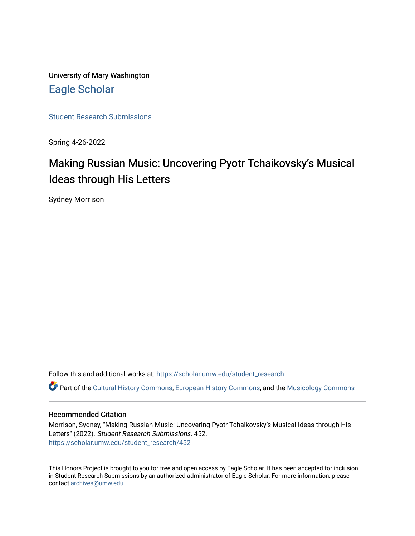University of Mary Washington [Eagle Scholar](https://scholar.umw.edu/) 

[Student Research Submissions](https://scholar.umw.edu/student_research) 

Spring 4-26-2022

# Making Russian Music: Uncovering Pyotr Tchaikovsky's Musical Ideas through His Letters

Sydney Morrison

Follow this and additional works at: [https://scholar.umw.edu/student\\_research](https://scholar.umw.edu/student_research?utm_source=scholar.umw.edu%2Fstudent_research%2F452&utm_medium=PDF&utm_campaign=PDFCoverPages)

Part of the [Cultural History Commons](https://network.bepress.com/hgg/discipline/496?utm_source=scholar.umw.edu%2Fstudent_research%2F452&utm_medium=PDF&utm_campaign=PDFCoverPages), [European History Commons,](https://network.bepress.com/hgg/discipline/492?utm_source=scholar.umw.edu%2Fstudent_research%2F452&utm_medium=PDF&utm_campaign=PDFCoverPages) and the [Musicology Commons](https://network.bepress.com/hgg/discipline/521?utm_source=scholar.umw.edu%2Fstudent_research%2F452&utm_medium=PDF&utm_campaign=PDFCoverPages) 

## Recommended Citation

Morrison, Sydney, "Making Russian Music: Uncovering Pyotr Tchaikovsky's Musical Ideas through His Letters" (2022). Student Research Submissions. 452. [https://scholar.umw.edu/student\\_research/452](https://scholar.umw.edu/student_research/452?utm_source=scholar.umw.edu%2Fstudent_research%2F452&utm_medium=PDF&utm_campaign=PDFCoverPages)

This Honors Project is brought to you for free and open access by Eagle Scholar. It has been accepted for inclusion in Student Research Submissions by an authorized administrator of Eagle Scholar. For more information, please contact [archives@umw.edu](mailto:archives@umw.edu).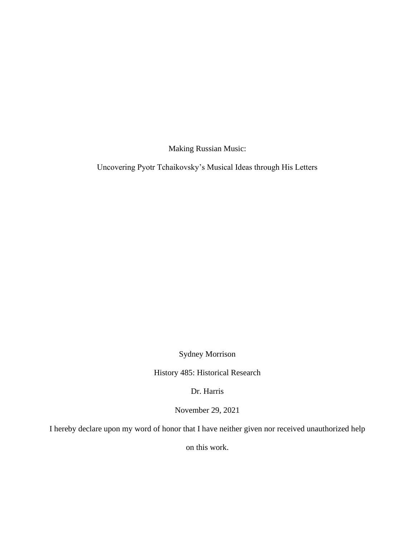Making Russian Music:

Uncovering Pyotr Tchaikovsky's Musical Ideas through His Letters

Sydney Morrison

History 485: Historical Research

Dr. Harris

November 29, 2021

I hereby declare upon my word of honor that I have neither given nor received unauthorized help

on this work.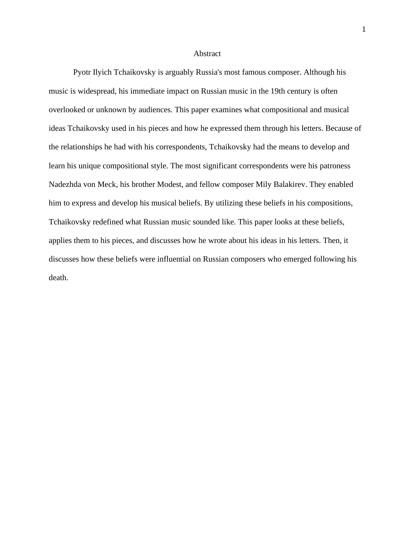#### **Abstract**

Pyotr Ilyich Tchaikovsky is arguably Russia's most famous composer. Although his music is widespread, his immediate impact on Russian music in the 19th century is often overlooked or unknown by audiences. This paper examines what compositional and musical ideas Tchaikovsky used in his pieces and how he expressed them through his letters. Because of the relationships he had with his correspondents, Tchaikovsky had the means to develop and learn his unique compositional style. The most significant correspondents were his patroness Nadezhda von Meck, his brother Modest, and fellow composer Mily Balakirev. They enabled him to express and develop his musical beliefs. By utilizing these beliefs in his compositions, Tchaikovsky redefined what Russian music sounded like. This paper looks at these beliefs, applies them to his pieces, and discusses how he wrote about his ideas in his letters. Then, it discusses how these beliefs were influential on Russian composers who emerged following his death.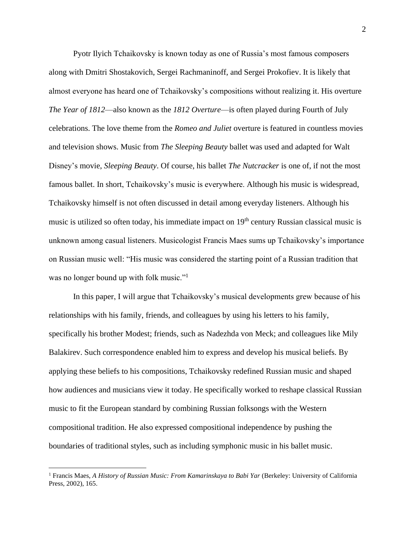Pyotr Ilyich Tchaikovsky is known today as one of Russia's most famous composers along with Dmitri Shostakovich, Sergei Rachmaninoff, and Sergei Prokofiev. It is likely that almost everyone has heard one of Tchaikovsky's compositions without realizing it. His overture *The Year of 1812*—also known as the *1812 Overture*—is often played during Fourth of July celebrations. The love theme from the *Romeo and Juliet* overture is featured in countless movies and television shows. Music from *The Sleeping Beauty* ballet was used and adapted for Walt Disney's movie, *Sleeping Beauty*. Of course, his ballet *The Nutcracker* is one of, if not the most famous ballet. In short, Tchaikovsky's music is everywhere. Although his music is widespread, Tchaikovsky himself is not often discussed in detail among everyday listeners. Although his music is utilized so often today, his immediate impact on 19<sup>th</sup> century Russian classical music is unknown among casual listeners. Musicologist Francis Maes sums up Tchaikovsky's importance on Russian music well: "His music was considered the starting point of a Russian tradition that was no longer bound up with folk music."<sup>1</sup>

In this paper, I will argue that Tchaikovsky's musical developments grew because of his relationships with his family, friends, and colleagues by using his letters to his family, specifically his brother Modest; friends, such as Nadezhda von Meck; and colleagues like Mily Balakirev. Such correspondence enabled him to express and develop his musical beliefs. By applying these beliefs to his compositions, Tchaikovsky redefined Russian music and shaped how audiences and musicians view it today. He specifically worked to reshape classical Russian music to fit the European standard by combining Russian folksongs with the Western compositional tradition. He also expressed compositional independence by pushing the boundaries of traditional styles, such as including symphonic music in his ballet music.

<sup>1</sup> Francis Maes, *A History of Russian Music: From Kamarinskaya to Babi Yar* (Berkeley: University of California Press, 2002), 165.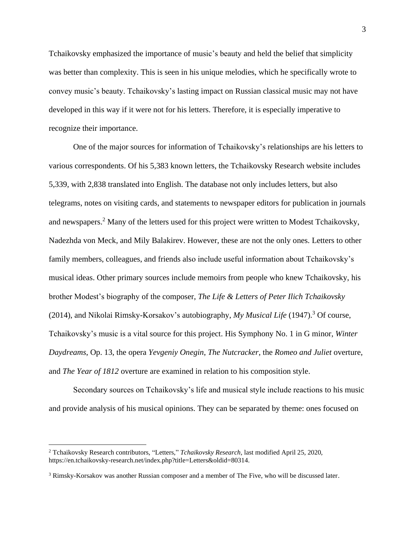Tchaikovsky emphasized the importance of music's beauty and held the belief that simplicity was better than complexity. This is seen in his unique melodies, which he specifically wrote to convey music's beauty. Tchaikovsky's lasting impact on Russian classical music may not have developed in this way if it were not for his letters. Therefore, it is especially imperative to recognize their importance.

One of the major sources for information of Tchaikovsky's relationships are his letters to various correspondents. Of his 5,383 known letters, the Tchaikovsky Research website includes 5,339, with 2,838 translated into English. The database not only includes letters, but also telegrams, notes on visiting cards, and statements to newspaper editors for publication in journals and newspapers.<sup>2</sup> Many of the letters used for this project were written to Modest Tchaikovsky, Nadezhda von Meck, and Mily Balakirev. However, these are not the only ones. Letters to other family members, colleagues, and friends also include useful information about Tchaikovsky's musical ideas. Other primary sources include memoirs from people who knew Tchaikovsky, his brother Modest's biography of the composer, *The Life & Letters of Peter Ilich Tchaikovsky* (2014), and Nikolai Rimsky-Korsakov's autobiography, *My Musical Life* (1947). <sup>3</sup> Of course, Tchaikovsky's music is a vital source for this project. His Symphony No. 1 in G minor, *Winter Daydreams*, Op. 13, the opera *Yevgeniy Onegin*, *The Nutcracker*, the *Romeo and Juliet* overture, and *The Year of 1812* overture are examined in relation to his composition style.

Secondary sources on Tchaikovsky's life and musical style include reactions to his music and provide analysis of his musical opinions. They can be separated by theme: ones focused on

<sup>2</sup> Tchaikovsky Research contributors, "Letters," *Tchaikovsky Research*, last modified April 25, 2020, https://en.tchaikovsky-research.net/index.php?title=Letters&oldid=80314.

<sup>3</sup> Rimsky-Korsakov was another Russian composer and a member of The Five, who will be discussed later.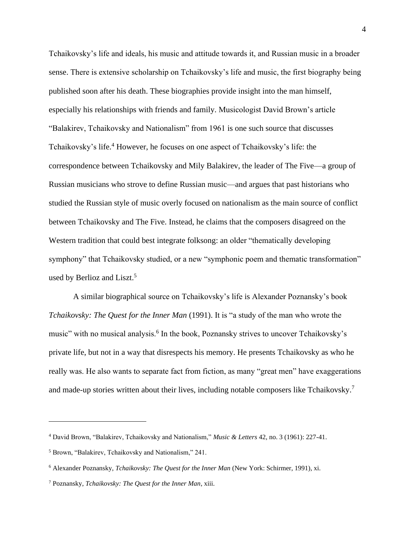Tchaikovsky's life and ideals, his music and attitude towards it, and Russian music in a broader sense. There is extensive scholarship on Tchaikovsky's life and music, the first biography being published soon after his death. These biographies provide insight into the man himself, especially his relationships with friends and family. Musicologist David Brown's article "Balakirev, Tchaikovsky and Nationalism" from 1961 is one such source that discusses Tchaikovsky's life. <sup>4</sup> However, he focuses on one aspect of Tchaikovsky's life: the correspondence between Tchaikovsky and Mily Balakirev, the leader of The Five—a group of Russian musicians who strove to define Russian music—and argues that past historians who studied the Russian style of music overly focused on nationalism as the main source of conflict between Tchaikovsky and The Five. Instead, he claims that the composers disagreed on the Western tradition that could best integrate folksong: an older "thematically developing symphony" that Tchaikovsky studied, or a new "symphonic poem and thematic transformation" used by Berlioz and Liszt.<sup>5</sup>

A similar biographical source on Tchaikovsky's life is Alexander Poznansky's book *Tchaikovsky: The Quest for the Inner Man* (1991). It is "a study of the man who wrote the music" with no musical analysis.<sup>6</sup> In the book, Poznansky strives to uncover Tchaikovsky's private life, but not in a way that disrespects his memory. He presents Tchaikovsky as who he really was. He also wants to separate fact from fiction, as many "great men" have exaggerations and made-up stories written about their lives, including notable composers like Tchaikovsky.<sup>7</sup>

<sup>4</sup> David Brown, "Balakirev, Tchaikovsky and Nationalism," *Music & Letters* 42, no. 3 (1961): 227-41.

<sup>5</sup> Brown, "Balakirev, Tchaikovsky and Nationalism," 241.

<sup>6</sup> Alexander Poznansky, *Tchaikovsky: The Quest for the Inner Man* (New York: Schirmer, 1991), xi.

<sup>7</sup> Poznansky, *Tchaikovsky: The Quest for the Inner Man*, xiii.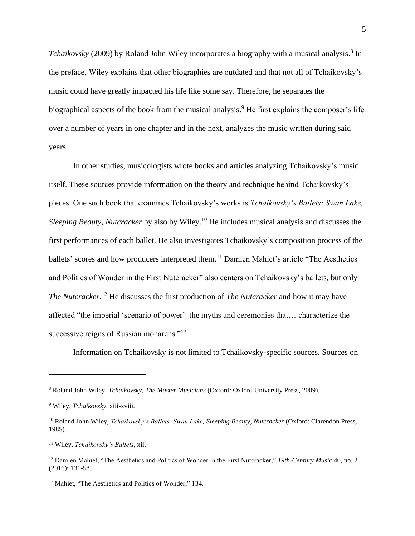Tchaikovsky (2009) by Roland John Wiley incorporates a biography with a musical analysis.<sup>8</sup> In the preface, Wiley explains that other biographies are outdated and that not all of Tchaikovsky's music could have greatly impacted his life like some say. Therefore, he separates the biographical aspects of the book from the musical analysis.<sup>9</sup> He first explains the composer's life over a number of years in one chapter and in the next, analyzes the music written during said years.

In other studies, musicologists wrote books and articles analyzing Tchaikovsky's music itself. These sources provide information on the theory and technique behind Tchaikovsky's pieces. One such book that examines Tchaikovsky's works is *Tchaikovsky's Ballets: Swan Lake, Sleeping Beauty, Nutcracker* by also by Wiley.<sup>10</sup> He includes musical analysis and discusses the first performances of each ballet. He also investigates Tchaikovsky's composition process of the ballets' scores and how producers interpreted them.<sup>11</sup> Damien Mahiet's article "The Aesthetics and Politics of Wonder in the First Nutcracker" also centers on Tchaikovsky's ballets, but only *The Nutcracker*. <sup>12</sup> He discusses the first production of *The Nutcracker* and how it may have affected "the imperial 'scenario of power'–the myths and ceremonies that… characterize the successive reigns of Russian monarchs."<sup>13</sup>

Information on Tchaikovsky is not limited to Tchaikovsky-specific sources. Sources on

<sup>8</sup> Roland John Wiley, *Tchaikovsky*, *The Master Musicians* (Oxford: Oxford University Press, 2009).

<sup>9</sup> Wiley, *Tchaikovsky*, xiii-xviii.

<sup>10</sup> Roland John Wiley, *Tchaikovsky's Ballets: Swan Lake, Sleeping Beauty, Nutcracker* (Oxford: Clarendon Press, 1985).

<sup>11</sup> Wiley, *Tchaikovsky's Ballets*, xii.

<sup>12</sup> Damien Mahiet, "The Aesthetics and Politics of Wonder in the First Nutcracker," *19th-Century Music* 40, no. 2 (2016): 131-58.

<sup>&</sup>lt;sup>13</sup> Mahiet, "The Aesthetics and Politics of Wonder," 134.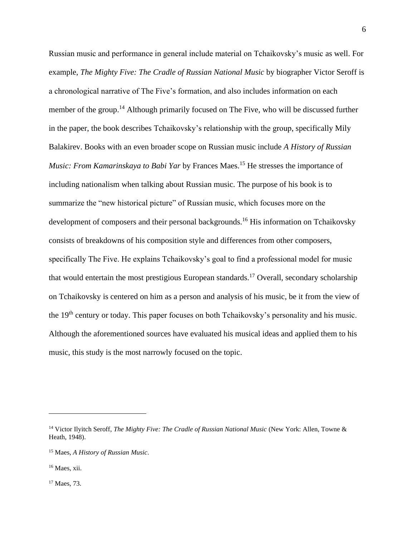Russian music and performance in general include material on Tchaikovsky's music as well. For example, *The Mighty Five: The Cradle of Russian National Music* by biographer Victor Seroff is a chronological narrative of The Five's formation, and also includes information on each member of the group.<sup>14</sup> Although primarily focused on The Five, who will be discussed further in the paper, the book describes Tchaikovsky's relationship with the group, specifically Mily Balakirev. Books with an even broader scope on Russian music include *A History of Russian Music: From Kamarinskaya to Babi Yar* by Frances Maes. <sup>15</sup> He stresses the importance of including nationalism when talking about Russian music. The purpose of his book is to summarize the "new historical picture" of Russian music, which focuses more on the development of composers and their personal backgrounds.<sup>16</sup> His information on Tchaikovsky consists of breakdowns of his composition style and differences from other composers, specifically The Five. He explains Tchaikovsky's goal to find a professional model for music that would entertain the most prestigious European standards.<sup>17</sup> Overall, secondary scholarship on Tchaikovsky is centered on him as a person and analysis of his music, be it from the view of the 19<sup>th</sup> century or today. This paper focuses on both Tchaikovsky's personality and his music. Although the aforementioned sources have evaluated his musical ideas and applied them to his music, this study is the most narrowly focused on the topic.

<sup>17</sup> Maes, 73.

<sup>14</sup> Victor Ilyitch Seroff, *The Mighty Five: The Cradle of Russian National Music* (New York: Allen, Towne & Heath, 1948).

<sup>15</sup> Maes, *A History of Russian Music*.

<sup>16</sup> Maes, xii.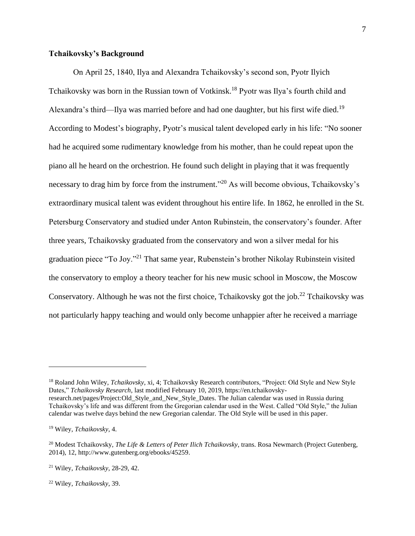## **Tchaikovsky's Background**

On April 25, 1840, Ilya and Alexandra Tchaikovsky's second son, Pyotr Ilyich Tchaikovsky was born in the Russian town of Votkinsk.<sup>18</sup> Pyotr was Ilya's fourth child and Alexandra's third—Ilya was married before and had one daughter, but his first wife died.<sup>19</sup> According to Modest's biography, Pyotr's musical talent developed early in his life: "No sooner had he acquired some rudimentary knowledge from his mother, than he could repeat upon the piano all he heard on the orchestrion. He found such delight in playing that it was frequently necessary to drag him by force from the instrument."<sup>20</sup> As will become obvious, Tchaikovsky's extraordinary musical talent was evident throughout his entire life. In 1862, he enrolled in the St. Petersburg Conservatory and studied under Anton Rubinstein, the conservatory's founder. After three years, Tchaikovsky graduated from the conservatory and won a silver medal for his graduation piece "To Joy."<sup>21</sup> That same year, Rubenstein's brother Nikolay Rubinstein visited the conservatory to employ a theory teacher for his new music school in Moscow, the Moscow Conservatory. Although he was not the first choice, Tchaikovsky got the job.<sup>22</sup> Tchaikovsky was not particularly happy teaching and would only become unhappier after he received a marriage

<sup>18</sup> Roland John Wiley, *Tchaikovsky*, xi, 4; Tchaikovsky Research contributors, "Project: Old Style and New Style Dates," *Tchaikovsky Research*, last modified February 10, 2019, https://en.tchaikovskyresearch.net/pages/Project:Old\_Style\_and\_New\_Style\_Dates. The Julian calendar was used in Russia during Tchaikovsky's life and was different from the Gregorian calendar used in the West. Called "Old Style," the Julian calendar was twelve days behind the new Gregorian calendar. The Old Style will be used in this paper.

<sup>19</sup> Wiley, *Tchaikovsky*, 4.

<sup>20</sup> Modest Tchaikovsky, *The Life & Letters of Peter Ilich Tchaikovsky*, trans. Rosa Newmarch (Project Gutenberg, 2014), 12, http://www.gutenberg.org/ebooks/45259.

<sup>21</sup> Wiley, *Tchaikovsky*, 28-29, 42.

<sup>22</sup> Wiley, *Tchaikovsky*, 39.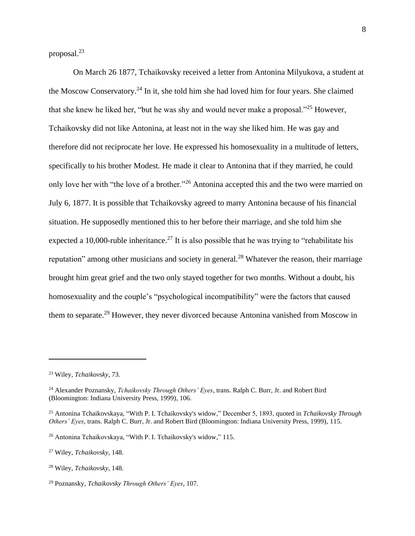proposal. 23

On March 26 1877, Tchaikovsky received a letter from Antonina Milyukova, a student at the Moscow Conservatory.<sup>24</sup> In it, she told him she had loved him for four years. She claimed that she knew he liked her, "but he was shy and would never make a proposal."<sup>25</sup> However, Tchaikovsky did not like Antonina, at least not in the way she liked him. He was gay and therefore did not reciprocate her love. He expressed his homosexuality in a multitude of letters, specifically to his brother Modest. He made it clear to Antonina that if they married, he could only love her with "the love of a brother."<sup>26</sup> Antonina accepted this and the two were married on July 6, 1877. It is possible that Tchaikovsky agreed to marry Antonina because of his financial situation. He supposedly mentioned this to her before their marriage, and she told him she expected a 10,000-ruble inheritance.<sup>27</sup> It is also possible that he was trying to "rehabilitate his reputation" among other musicians and society in general.<sup>28</sup> Whatever the reason, their marriage brought him great grief and the two only stayed together for two months. Without a doubt, his homosexuality and the couple's "psychological incompatibility" were the factors that caused them to separate.<sup>29</sup> However, they never divorced because Antonina vanished from Moscow in

<sup>23</sup> Wiley, *Tchaikovsky*, 73.

<sup>24</sup> Alexander Poznansky, *Tchaikovsky Through Others' Eyes*, trans. Ralph C. Burr, Jr. and Robert Bird (Bloomington: Indiana University Press, 1999), 106.

<sup>25</sup> Antonina Tchaikovskaya, "With P. I. Tchaikovsky's widow," December 5, 1893, quoted in *Tchaikovsky Through Others' Eyes*, trans. Ralph C. Burr, Jr. and Robert Bird (Bloomington: Indiana University Press, 1999), 115.

<sup>26</sup> Antonina Tchaikovskaya, "With P. I. Tchaikovsky's widow," 115.

<sup>27</sup> Wiley, *Tchaikovsky*, 148.

<sup>28</sup> Wiley, *Tchaikovsky*, 148.

<sup>29</sup> Poznansky, *Tchaikovsky Through Others' Eyes*, 107.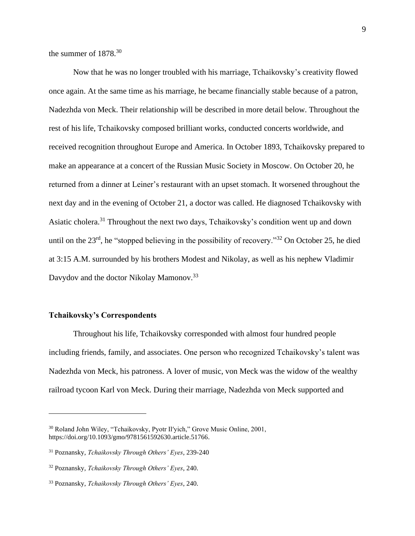the summer of 1878.<sup>30</sup>

Now that he was no longer troubled with his marriage, Tchaikovsky's creativity flowed once again. At the same time as his marriage, he became financially stable because of a patron, Nadezhda von Meck. Their relationship will be described in more detail below. Throughout the rest of his life, Tchaikovsky composed brilliant works, conducted concerts worldwide, and received recognition throughout Europe and America. In October 1893, Tchaikovsky prepared to make an appearance at a concert of the Russian Music Society in Moscow. On October 20, he returned from a dinner at Leiner's restaurant with an upset stomach. It worsened throughout the next day and in the evening of October 21, a doctor was called. He diagnosed Tchaikovsky with Asiatic cholera.<sup>31</sup> Throughout the next two days, Tchaikovsky's condition went up and down until on the  $23<sup>rd</sup>$ , he "stopped believing in the possibility of recovery."<sup>32</sup> On October 25, he died at 3:15 A.M. surrounded by his brothers Modest and Nikolay, as well as his nephew Vladimir Davydov and the doctor Nikolay Mamonov.<sup>33</sup>

# **Tchaikovsky's Correspondents**

Throughout his life, Tchaikovsky corresponded with almost four hundred people including friends, family, and associates. One person who recognized Tchaikovsky's talent was Nadezhda von Meck, his patroness. A lover of music, von Meck was the widow of the wealthy railroad tycoon Karl von Meck. During their marriage, Nadezhda von Meck supported and

<sup>30</sup> Roland John Wiley, "Tchaikovsky, Pyotr Il′yich," Grove Music Online, 2001, https://doi.org/10.1093/gmo/9781561592630.article.51766.

<sup>31</sup> Poznansky, *Tchaikovsky Through Others' Eyes*, 239-240

<sup>32</sup> Poznansky, *Tchaikovsky Through Others' Eyes*, 240.

<sup>33</sup> Poznansky, *Tchaikovsky Through Others' Eyes*, 240.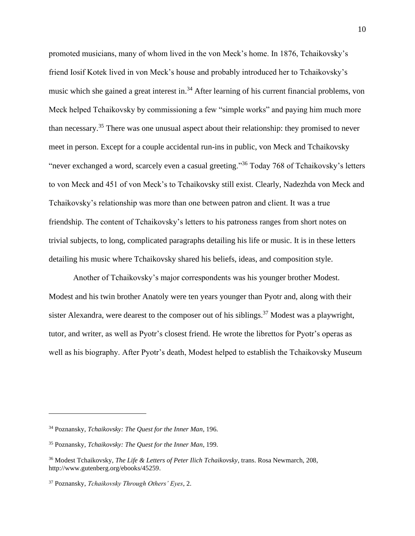promoted musicians, many of whom lived in the von Meck's home. In 1876, Tchaikovsky's friend Iosif Kotek lived in von Meck's house and probably introduced her to Tchaikovsky's music which she gained a great interest in.<sup>34</sup> After learning of his current financial problems, von Meck helped Tchaikovsky by commissioning a few "simple works" and paying him much more than necessary.<sup>35</sup> There was one unusual aspect about their relationship: they promised to never meet in person. Except for a couple accidental run-ins in public, von Meck and Tchaikovsky "never exchanged a word, scarcely even a casual greeting."<sup>36</sup> Today 768 of Tchaikovsky's letters to von Meck and 451 of von Meck's to Tchaikovsky still exist. Clearly, Nadezhda von Meck and Tchaikovsky's relationship was more than one between patron and client. It was a true friendship. The content of Tchaikovsky's letters to his patroness ranges from short notes on trivial subjects, to long, complicated paragraphs detailing his life or music. It is in these letters detailing his music where Tchaikovsky shared his beliefs, ideas, and composition style.

Another of Tchaikovsky's major correspondents was his younger brother Modest. Modest and his twin brother Anatoly were ten years younger than Pyotr and, along with their sister Alexandra, were dearest to the composer out of his siblings.<sup>37</sup> Modest was a playwright, tutor, and writer, as well as Pyotr's closest friend. He wrote the librettos for Pyotr's operas as well as his biography. After Pyotr's death, Modest helped to establish the Tchaikovsky Museum

<sup>34</sup> Poznansky, *Tchaikovsky: The Quest for the Inner Man*, 196.

<sup>35</sup> Poznansky, *Tchaikovsky: The Quest for the Inner Man*, 199.

<sup>36</sup> Modest Tchaikovsky, *The Life & Letters of Peter Ilich Tchaikovsky*, trans. Rosa Newmarch, 208, http://www.gutenberg.org/ebooks/45259.

<sup>37</sup> Poznansky, *Tchaikovsky Through Others' Eyes*, 2.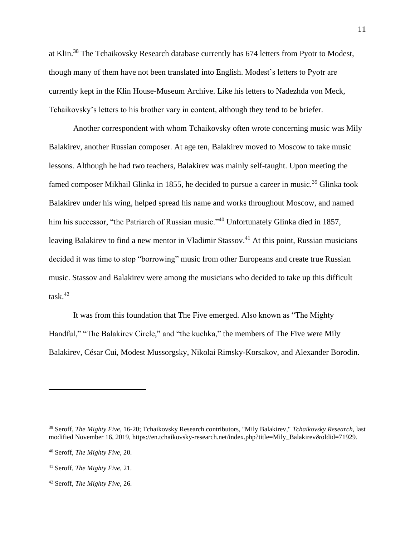at Klin.<sup>38</sup> The Tchaikovsky Research database currently has 674 letters from Pyotr to Modest, though many of them have not been translated into English. Modest's letters to Pyotr are currently kept in the Klin House-Museum Archive. Like his letters to Nadezhda von Meck, Tchaikovsky's letters to his brother vary in content, although they tend to be briefer.

Another correspondent with whom Tchaikovsky often wrote concerning music was Mily Balakirev, another Russian composer. At age ten, Balakirev moved to Moscow to take music lessons. Although he had two teachers, Balakirev was mainly self-taught. Upon meeting the famed composer Mikhail Glinka in 1855, he decided to pursue a career in music.<sup>39</sup> Glinka took Balakirev under his wing, helped spread his name and works throughout Moscow, and named him his successor, "the Patriarch of Russian music."<sup>40</sup> Unfortunately Glinka died in 1857, leaving Balakirev to find a new mentor in Vladimir Stassov.<sup>41</sup> At this point, Russian musicians decided it was time to stop "borrowing" music from other Europeans and create true Russian music. Stassov and Balakirev were among the musicians who decided to take up this difficult task $^{42}$ 

It was from this foundation that The Five emerged. Also known as "The Mighty Handful," "The Balakirev Circle," and "the kuchka," the members of The Five were Mily Balakirev, César Cui, Modest Mussorgsky, Nikolai Rimsky-Korsakov, and Alexander Borodin.

<sup>39</sup> Seroff, *The Mighty Five*, 16-20; Tchaikovsky Research contributors, "Mily Balakirev," *Tchaikovsky Research,* last modified November 16, 2019, https://en.tchaikovsky-research.net/index.php?title=Mily\_Balakirev&oldid=71929.

<sup>40</sup> Seroff, *The Mighty Five*, 20.

<sup>41</sup> Seroff, *The Mighty Five*, 21.

<sup>42</sup> Seroff, *The Mighty Five*, 26.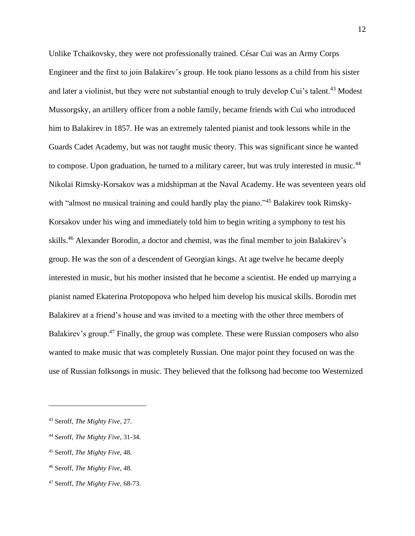Unlike Tchaikovsky, they were not professionally trained. César Cui was an Army Corps Engineer and the first to join Balakirev's group. He took piano lessons as a child from his sister and later a violinist, but they were not substantial enough to truly develop Cui's talent.<sup>43</sup> Modest Mussorgsky, an artillery officer from a noble family, became friends with Cui who introduced him to Balakirev in 1857. He was an extremely talented pianist and took lessons while in the Guards Cadet Academy, but was not taught music theory. This was significant since he wanted to compose. Upon graduation, he turned to a military career, but was truly interested in music.<sup>44</sup> Nikolai Rimsky-Korsakov was a midshipman at the Naval Academy. He was seventeen years old with "almost no musical training and could hardly play the piano."<sup>45</sup> Balakirev took Rimsky-Korsakov under his wing and immediately told him to begin writing a symphony to test his skills. <sup>46</sup> Alexander Borodin, a doctor and chemist, was the final member to join Balakirev's group. He was the son of a descendent of Georgian kings. At age twelve he became deeply interested in music, but his mother insisted that he become a scientist. He ended up marrying a pianist named Ekaterina Protopopova who helped him develop his musical skills. Borodin met Balakirev at a friend's house and was invited to a meeting with the other three members of Balakirev's group.<sup>47</sup> Finally, the group was complete. These were Russian composers who also wanted to make music that was completely Russian. One major point they focused on was the use of Russian folksongs in music. They believed that the folksong had become too Westernized

<sup>43</sup> Seroff, *The Mighty Five*, 27.

<sup>44</sup> Seroff, *The Mighty Five*, 31-34.

<sup>45</sup> Seroff, *The Mighty Five*, 48.

<sup>46</sup> Seroff, *The Mighty Five*, 48.

<sup>47</sup> Seroff, *The Mighty Five*, 68-73.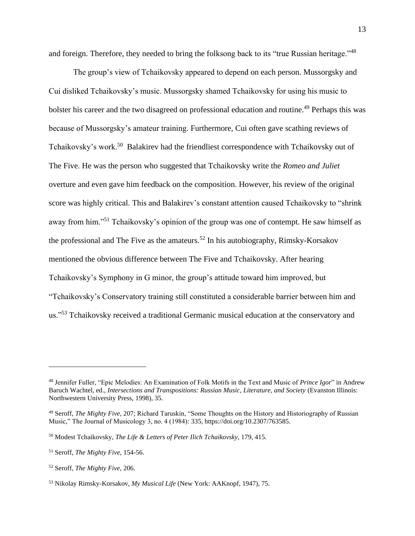and foreign. Therefore, they needed to bring the folksong back to its "true Russian heritage."<sup>48</sup>

The group's view of Tchaikovsky appeared to depend on each person. Mussorgsky and Cui disliked Tchaikovsky's music. Mussorgsky shamed Tchaikovsky for using his music to bolster his career and the two disagreed on professional education and routine.<sup>49</sup> Perhaps this was because of Mussorgsky's amateur training. Furthermore, Cui often gave scathing reviews of Tchaikovsky's work.<sup>50</sup> Balakirev had the friendliest correspondence with Tchaikovsky out of The Five. He was the person who suggested that Tchaikovsky write the *Romeo and Juliet* overture and even gave him feedback on the composition. However, his review of the original score was highly critical. This and Balakirev's constant attention caused Tchaikovsky to "shrink away from him."<sup>51</sup> Tchaikovsky's opinion of the group was one of contempt. He saw himself as the professional and The Five as the amateurs. <sup>52</sup> In his autobiography, Rimsky-Korsakov mentioned the obvious difference between The Five and Tchaikovsky. After hearing Tchaikovsky's Symphony in G minor, the group's attitude toward him improved, but "Tchaikovsky's Conservatory training still constituted a considerable barrier between him and us."<sup>53</sup> Tchaikovsky received a traditional Germanic musical education at the conservatory and

<sup>48</sup> Jennifer Fuller, "Epic Melodies: An Examination of Folk Motifs in the Text and Music of *Prince Igor*" in Andrew Baruch Wachtel, ed., *Intersections and Transpositions: Russian Music, Literature, and Society* (Evanston Illinois: Northwestern University Press, 1998), 35.

<sup>49</sup> Seroff, *The Mighty Five*, 207; Richard Taruskin, "Some Thoughts on the History and Historiography of Russian Music," The Journal of Musicology 3, no. 4 (1984): 335, https://doi.org/10.2307/763585.

<sup>50</sup> Modest Tchaikovsky, *The Life & Letters of Peter Ilich Tchaikovsky*, 179, 415.

<sup>51</sup> Seroff, *The Mighty Five*, 154-56.

<sup>52</sup> Seroff, *The Mighty Five*, 206.

<sup>53</sup> Nikolay Rimsky-Korsakov, *My Musical Life* (New York: AAKnopf, 1947), 75.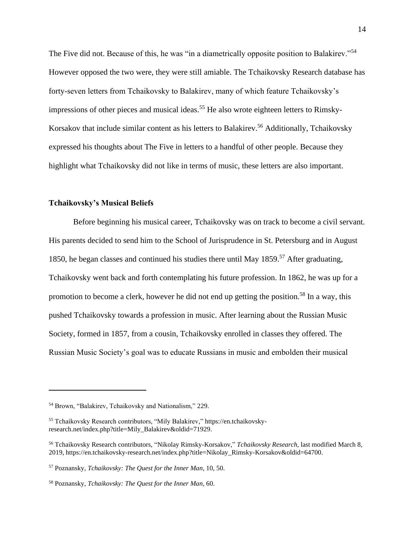The Five did not. Because of this, he was "in a diametrically opposite position to Balakirev."<sup>54</sup> However opposed the two were, they were still amiable. The Tchaikovsky Research database has forty-seven letters from Tchaikovsky to Balakirev, many of which feature Tchaikovsky's impressions of other pieces and musical ideas.<sup>55</sup> He also wrote eighteen letters to Rimsky-Korsakov that include similar content as his letters to Balakirev.<sup>56</sup> Additionally, Tchaikovsky expressed his thoughts about The Five in letters to a handful of other people. Because they highlight what Tchaikovsky did not like in terms of music, these letters are also important.

#### **Tchaikovsky's Musical Beliefs**

Before beginning his musical career, Tchaikovsky was on track to become a civil servant. His parents decided to send him to the School of Jurisprudence in St. Petersburg and in August 1850, he began classes and continued his studies there until May 1859.<sup>57</sup> After graduating, Tchaikovsky went back and forth contemplating his future profession. In 1862, he was up for a promotion to become a clerk, however he did not end up getting the position.<sup>58</sup> In a way, this pushed Tchaikovsky towards a profession in music. After learning about the Russian Music Society, formed in 1857, from a cousin, Tchaikovsky enrolled in classes they offered. The Russian Music Society's goal was to educate Russians in music and embolden their musical

<sup>54</sup> Brown, "Balakirev, Tchaikovsky and Nationalism," 229.

<sup>55</sup> Tchaikovsky Research contributors, "Mily Balakirev," https://en.tchaikovskyresearch.net/index.php?title=Mily\_Balakirev&oldid=71929.

<sup>56</sup> Tchaikovsky Research contributors, "Nikolay Rimsky-Korsakov," *Tchaikovsky Research,* last modified March 8, 2019, https://en.tchaikovsky-research.net/index.php?title=Nikolay\_Rimsky-Korsakov&oldid=64700.

<sup>57</sup> Poznansky, *Tchaikovsky: The Quest for the Inner Man*, 10, 50.

<sup>58</sup> Poznansky, *Tchaikovsky: The Quest for the Inner Man*, 60.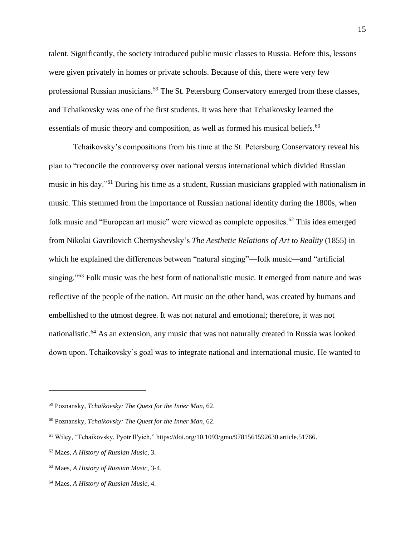talent. Significantly, the society introduced public music classes to Russia. Before this, lessons were given privately in homes or private schools. Because of this, there were very few professional Russian musicians.<sup>59</sup> The St. Petersburg Conservatory emerged from these classes, and Tchaikovsky was one of the first students. It was here that Tchaikovsky learned the essentials of music theory and composition, as well as formed his musical beliefs.<sup>60</sup>

Tchaikovsky's compositions from his time at the St. Petersburg Conservatory reveal his plan to "reconcile the controversy over national versus international which divided Russian music in his day."<sup>61</sup> During his time as a student, Russian musicians grappled with nationalism in music. This stemmed from the importance of Russian national identity during the 1800s, when folk music and "European art music" were viewed as complete opposites.<sup>62</sup> This idea emerged from Nikolai Gavrilovich Chernyshevsky's *The Aesthetic Relations of Art to Reality* (1855) in which he explained the differences between "natural singing"—folk music—and "artificial singing."<sup>63</sup> Folk music was the best form of nationalistic music. It emerged from nature and was reflective of the people of the nation. Art music on the other hand, was created by humans and embellished to the utmost degree. It was not natural and emotional; therefore, it was not nationalistic.<sup>64</sup> As an extension, any music that was not naturally created in Russia was looked down upon. Tchaikovsky's goal was to integrate national and international music. He wanted to

<sup>59</sup> Poznansky, *Tchaikovsky: The Quest for the Inner Man*, 62.

<sup>60</sup> Poznansky, *Tchaikovsky: The Quest for the Inner Man*, 62.

<sup>61</sup> Wiley, "Tchaikovsky, Pyotr Il′yich," https://doi.org/10.1093/gmo/9781561592630.article.51766.

<sup>62</sup> Maes, *A History of Russian Music*, 3.

<sup>63</sup> Maes, *A History of Russian Music*, 3-4.

<sup>64</sup> Maes, *A History of Russian Music*, 4.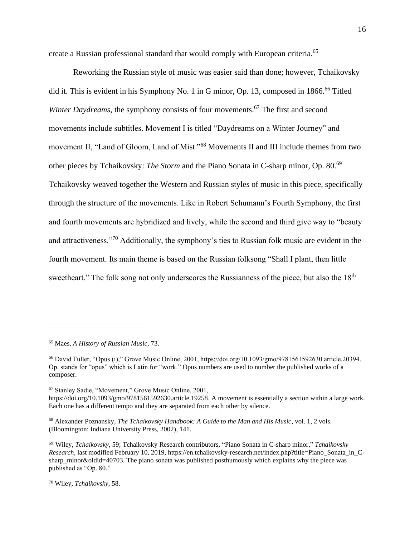create a Russian professional standard that would comply with European criteria.<sup>65</sup>

Reworking the Russian style of music was easier said than done; however, Tchaikovsky did it. This is evident in his Symphony No. 1 in G minor, Op. 13, composed in 1866.<sup>66</sup> Titled *Winter Daydreams*, the symphony consists of four movements.<sup>67</sup> The first and second movements include subtitles. Movement I is titled "Daydreams on a Winter Journey" and movement II, "Land of Gloom, Land of Mist."<sup>68</sup> Movements II and III include themes from two other pieces by Tchaikovsky: *The Storm* and the Piano Sonata in C-sharp minor, Op. 80.<sup>69</sup> Tchaikovsky weaved together the Western and Russian styles of music in this piece, specifically through the structure of the movements. Like in Robert Schumann's Fourth Symphony, the first and fourth movements are hybridized and lively, while the second and third give way to "beauty and attractiveness."<sup>70</sup> Additionally, the symphony's ties to Russian folk music are evident in the fourth movement. Its main theme is based on the Russian folksong "Shall I plant, then little sweetheart." The folk song not only underscores the Russianness of the piece, but also the 18<sup>th</sup>

<sup>67</sup> Stanley Sadie, "Movement," Grove Music Online, 2001,

<sup>68</sup> Alexander Poznansky, *The Tchaikovsky Handbook: A Guide to the Man and His Music*, vol. 1, 2 vols. (Bloomington: Indiana University Press, 2002), 141.

<sup>65</sup> Maes, *A History of Russian Music*, 73.

<sup>66</sup> David Fuller, "Opus (i)," Grove Music Online, 2001, https://doi.org/10.1093/gmo/9781561592630.article.20394. Op. stands for "opus" which is Latin for "work." Opus numbers are used to number the published works of a composer.

https://doi.org/10.1093/gmo/9781561592630.article.19258. A movement is essentially a section within a large work. Each one has a different tempo and they are separated from each other by silence.

<sup>69</sup> Wiley, *Tchaikovsky*, 59; Tchaikovsky Research contributors, "Piano Sonata in C-sharp minor," *Tchaikovsky Research,* last modified February 10, 2019, https://en.tchaikovsky-research.net/index.php?title=Piano\_Sonata\_in\_Csharp\_minor&oldid=40703. The piano sonata was published posthumously which explains why the piece was published as "Op. 80."

<sup>70</sup> Wiley, *Tchaikovsky*, 58.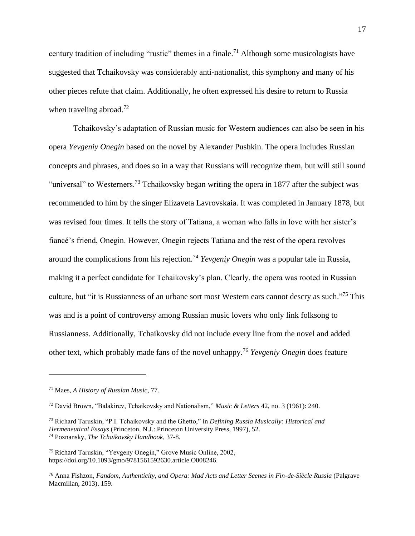century tradition of including "rustic" themes in a finale.<sup>71</sup> Although some musicologists have suggested that Tchaikovsky was considerably anti-nationalist, this symphony and many of his other pieces refute that claim. Additionally, he often expressed his desire to return to Russia when traveling abroad.<sup>72</sup>

Tchaikovsky's adaptation of Russian music for Western audiences can also be seen in his opera *Yevgeniy Onegin* based on the novel by Alexander Pushkin. The opera includes Russian concepts and phrases, and does so in a way that Russians will recognize them, but will still sound "universal" to Westerners.<sup>73</sup> Tchaikovsky began writing the opera in 1877 after the subject was recommended to him by the singer Elizaveta Lavrovskaia. It was completed in January 1878, but was revised four times. It tells the story of Tatiana, a woman who falls in love with her sister's fiancé's friend, Onegin. However, Onegin rejects Tatiana and the rest of the opera revolves around the complications from his rejection.<sup>74</sup> *Yevgeniy Onegin* was a popular tale in Russia, making it a perfect candidate for Tchaikovsky's plan. Clearly, the opera was rooted in Russian culture, but "it is Russianness of an urbane sort most Western ears cannot descry as such."<sup>75</sup> This was and is a point of controversy among Russian music lovers who only link folksong to Russianness. Additionally, Tchaikovsky did not include every line from the novel and added other text, which probably made fans of the novel unhappy.<sup>76</sup> *Yevgeniy Onegin* does feature

<sup>71</sup> Maes, *A History of Russian Music*, 77.

<sup>72</sup> David Brown, "Balakirev, Tchaikovsky and Nationalism," *Music & Letters* 42, no. 3 (1961): 240.

<sup>73</sup> Richard Taruskin, "P.I. Tchaikovsky and the Ghetto," in *Defining Russia Musically: Historical and Hermeneutical Essays* (Princeton, N.J.: Princeton University Press, 1997), 52. <sup>74</sup> Poznansky, *The Tchaikovsky Handbook*, 37-8.

<sup>75</sup> Richard Taruskin, "Yevgeny Onegin," Grove Music Online, 2002, https://doi.org/10.1093/gmo/9781561592630.article.O008246.

<sup>76</sup> Anna Fishzon, *Fandom, Authenticity, and Opera: Mad Acts and Letter Scenes in Fin-de-Siècle Russia* (Palgrave Macmillan, 2013), 159.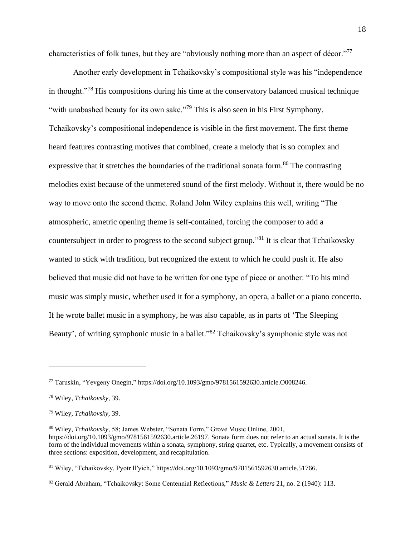characteristics of folk tunes, but they are "obviously nothing more than an aspect of décor."<sup>77</sup>

Another early development in Tchaikovsky's compositional style was his "independence in thought."<sup>78</sup> His compositions during his time at the conservatory balanced musical technique "with unabashed beauty for its own sake."<sup>79</sup> This is also seen in his First Symphony. Tchaikovsky's compositional independence is visible in the first movement. The first theme heard features contrasting motives that combined, create a melody that is so complex and expressive that it stretches the boundaries of the traditional sonata form.<sup>80</sup> The contrasting melodies exist because of the unmetered sound of the first melody. Without it, there would be no way to move onto the second theme. Roland John Wiley explains this well, writing "The atmospheric, ametric opening theme is self-contained, forcing the composer to add a countersubject in order to progress to the second subject group."<sup>81</sup> It is clear that Tchaikovsky wanted to stick with tradition, but recognized the extent to which he could push it. He also believed that music did not have to be written for one type of piece or another: "To his mind music was simply music, whether used it for a symphony, an opera, a ballet or a piano concerto. If he wrote ballet music in a symphony, he was also capable, as in parts of 'The Sleeping Beauty', of writing symphonic music in a ballet."<sup>82</sup> Tchaikovsky's symphonic style was not

<sup>77</sup> Taruskin, "Yevgeny Onegin," https://doi.org/10.1093/gmo/9781561592630.article.O008246.

<sup>78</sup> Wiley, *Tchaikovsky*, 39.

<sup>79</sup> Wiley, *Tchaikovsky*, 39.

<sup>80</sup> Wiley, *Tchaikovsky*, 58; James Webster, "Sonata Form," Grove Music Online, 2001, https://doi.org/10.1093/gmo/9781561592630.article.26197. Sonata form does not refer to an actual sonata. It is the form of the individual movements within a sonata, symphony, string quartet, etc. Typically, a movement consists of three sections: exposition, development, and recapitulation.

<sup>81</sup> Wiley, "Tchaikovsky, Pyotr Il′yich," https://doi.org/10.1093/gmo/9781561592630.article.51766.

<sup>82</sup> Gerald Abraham, "Tchaikovsky: Some Centennial Reflections," *Music & Letters* 21, no. 2 (1940): 113.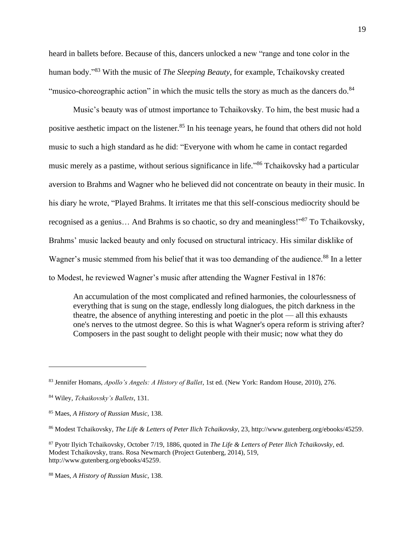heard in ballets before. Because of this, dancers unlocked a new "range and tone color in the human body."<sup>83</sup> With the music of *The Sleeping Beauty*, for example, Tchaikovsky created "musico-choreographic action" in which the music tells the story as much as the dancers do.<sup>84</sup>

Music's beauty was of utmost importance to Tchaikovsky. To him, the best music had a positive aesthetic impact on the listener.<sup>85</sup> In his teenage years, he found that others did not hold music to such a high standard as he did: "Everyone with whom he came in contact regarded music merely as a pastime, without serious significance in life."<sup>86</sup> Tchaikovsky had a particular aversion to Brahms and Wagner who he believed did not concentrate on beauty in their music. In his diary he wrote, "Played Brahms. It irritates me that this self-conscious mediocrity should be recognised as a genius… And Brahms is so chaotic, so dry and meaningless!"<sup>87</sup> To Tchaikovsky, Brahms' music lacked beauty and only focused on structural intricacy. His similar disklike of Wagner's music stemmed from his belief that it was too demanding of the audience.<sup>88</sup> In a letter to Modest, he reviewed Wagner's music after attending the Wagner Festival in 1876:

An accumulation of the most complicated and refined harmonies, the colourlessness of everything that is sung on the stage, endlessly long dialogues, the pitch darkness in the theatre, the absence of anything interesting and poetic in the plot — all this exhausts one's nerves to the utmost degree. So this is what Wagner's opera reform is striving after? Composers in the past sought to delight people with their music; now what they do

<sup>83</sup> Jennifer Homans, *Apollo's Angels: A History of Ballet*, 1st ed. (New York: Random House, 2010), 276.

<sup>84</sup> Wiley, *Tchaikovsky's Ballets*, 131.

<sup>85</sup> Maes, *A History of Russian Music*, 138.

<sup>86</sup> Modest Tchaikovsky, *The Life & Letters of Peter Ilich Tchaikovsky*, 23, http://www.gutenberg.org/ebooks/45259.

<sup>87</sup> Pyotr Ilyich Tchaikovsky, October 7/19, 1886, quoted in *The Life & Letters of Peter Ilich Tchaikovsky*, ed. Modest Tchaikovsky, trans. Rosa Newmarch (Project Gutenberg, 2014), 519, http://www.gutenberg.org/ebooks/45259.

<sup>88</sup> Maes, *A History of Russian Music*, 138.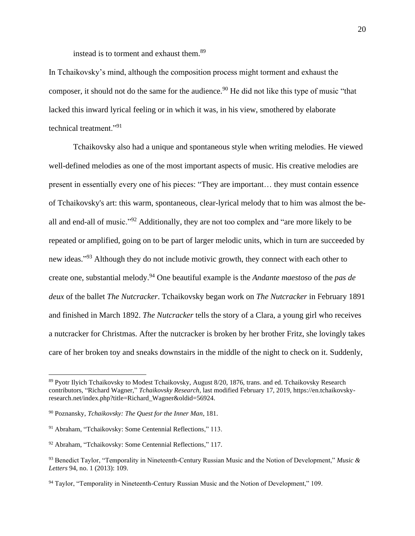instead is to torment and exhaust them.<sup>89</sup>

In Tchaikovsky's mind, although the composition process might torment and exhaust the composer, it should not do the same for the audience.<sup>90</sup> He did not like this type of music "that lacked this inward lyrical feeling or in which it was, in his view, smothered by elaborate technical treatment."<sup>91</sup>

Tchaikovsky also had a unique and spontaneous style when writing melodies. He viewed well-defined melodies as one of the most important aspects of music. His creative melodies are present in essentially every one of his pieces: "They are important… they must contain essence of Tchaikovsky's art: this warm, spontaneous, clear-lyrical melody that to him was almost the beall and end-all of music."<sup>92</sup> Additionally, they are not too complex and "are more likely to be repeated or amplified, going on to be part of larger melodic units, which in turn are succeeded by new ideas."<sup>93</sup> Although they do not include motivic growth, they connect with each other to create one, substantial melody.<sup>94</sup> One beautiful example is the *Andante maestoso* of the *pas de deux* of the ballet *The Nutcracker*. Tchaikovsky began work on *The Nutcracker* in February 1891 and finished in March 1892. *The Nutcracker* tells the story of a Clara, a young girl who receives a nutcracker for Christmas. After the nutcracker is broken by her brother Fritz, she lovingly takes care of her broken toy and sneaks downstairs in the middle of the night to check on it. Suddenly,

<sup>89</sup> Pyotr Ilyich Tchaikovsky to Modest Tchaikovsky, August 8/20, 1876, trans. and ed. Tchaikovsky Research contributors, "Richard Wagner," *Tchaikovsky Research*, last modified February 17, 2019, https://en.tchaikovskyresearch.net/index.php?title=Richard\_Wagner&oldid=56924.

<sup>90</sup> Poznansky, *Tchaikovsky: The Quest for the Inner Man*, 181.

<sup>91</sup> Abraham, "Tchaikovsky: Some Centennial Reflections," 113.

<sup>92</sup> Abraham, "Tchaikovsky: Some Centennial Reflections," 117.

<sup>93</sup> Benedict Taylor, "Temporality in Nineteenth-Century Russian Music and the Notion of Development," *Music & Letters* 94, no. 1 (2013): 109.

<sup>94</sup> Taylor, "Temporality in Nineteenth-Century Russian Music and the Notion of Development," 109.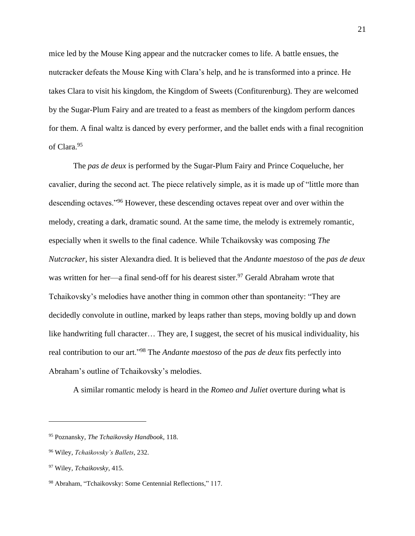mice led by the Mouse King appear and the nutcracker comes to life. A battle ensues, the nutcracker defeats the Mouse King with Clara's help, and he is transformed into a prince. He takes Clara to visit his kingdom, the Kingdom of Sweets (Confiturenburg). They are welcomed by the Sugar-Plum Fairy and are treated to a feast as members of the kingdom perform dances for them. A final waltz is danced by every performer, and the ballet ends with a final recognition of Clara.<sup>95</sup>

The *pas de deux* is performed by the Sugar-Plum Fairy and Prince Coqueluche, her cavalier, during the second act. The piece relatively simple, as it is made up of "little more than descending octaves."<sup>96</sup> However, these descending octaves repeat over and over within the melody, creating a dark, dramatic sound. At the same time, the melody is extremely romantic, especially when it swells to the final cadence. While Tchaikovsky was composing *The Nutcracker*, his sister Alexandra died. It is believed that the *Andante maestoso* of the *pas de deux*  was written for her—a final send-off for his dearest sister.<sup>97</sup> Gerald Abraham wrote that Tchaikovsky's melodies have another thing in common other than spontaneity: "They are decidedly convolute in outline, marked by leaps rather than steps, moving boldly up and down like handwriting full character… They are, I suggest, the secret of his musical individuality, his real contribution to our art."<sup>98</sup> The *Andante maestoso* of the *pas de deux* fits perfectly into Abraham's outline of Tchaikovsky's melodies.

A similar romantic melody is heard in the *Romeo and Juliet* overture during what is

<sup>95</sup> Poznansky, *The Tchaikovsky Handbook*, 118.

<sup>96</sup> Wiley, *Tchaikovsky's Ballets*, 232.

<sup>97</sup> Wiley, *Tchaikovsky*, 415.

<sup>98</sup> Abraham, "Tchaikovsky: Some Centennial Reflections," 117.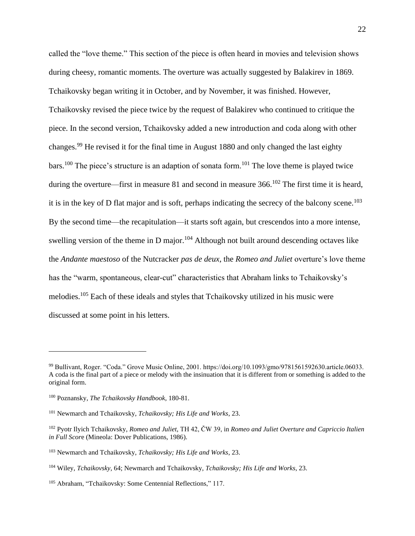called the "love theme." This section of the piece is often heard in movies and television shows during cheesy, romantic moments. The overture was actually suggested by Balakirev in 1869. Tchaikovsky began writing it in October, and by November, it was finished. However, Tchaikovsky revised the piece twice by the request of Balakirev who continued to critique the piece. In the second version, Tchaikovsky added a new introduction and coda along with other changes.<sup>99</sup> He revised it for the final time in August 1880 and only changed the last eighty bars.<sup>100</sup> The piece's structure is an adaption of sonata form.<sup>101</sup> The love theme is played twice during the overture—first in measure 81 and second in measure 366.<sup>102</sup> The first time it is heard, it is in the key of D flat major and is soft, perhaps indicating the secrecy of the balcony scene.<sup>103</sup> By the second time—the recapitulation—it starts soft again, but crescendos into a more intense, swelling version of the theme in D major.<sup>104</sup> Although not built around descending octaves like the *Andante maestoso* of the Nutcracker *pas de deux*, the *Romeo and Juliet* overture's love theme has the "warm, spontaneous, clear-cut" characteristics that Abraham links to Tchaikovsky's melodies.<sup>105</sup> Each of these ideals and styles that Tchaikovsky utilized in his music were discussed at some point in his letters.

<sup>99</sup> Bullivant, Roger. "Coda." Grove Music Online, 2001. https://doi.org/10.1093/gmo/9781561592630.article.06033. A coda is the final part of a piece or melody with the insinuation that it is different from or something is added to the original form.

<sup>100</sup> Poznansky, *The Tchaikovsky Handbook*, 180-81.

<sup>101</sup> Newmarch and Tchaikovsky, *Tchaikovsky; His Life and Works*, 23.

<sup>102</sup> Pyotr Ilyich Tchaikovsky, *Romeo and Juliet*, TH 42, ČW 39, in *Romeo and Juliet Overture and Capriccio Italien in Full Scor*e (Mineola: Dover Publications, 1986).

<sup>103</sup> Newmarch and Tchaikovsky, *Tchaikovsky; His Life and Works*, 23.

<sup>104</sup> Wiley, *Tchaikovsky*, 64; Newmarch and Tchaikovsky, *Tchaikovsky; His Life and Works*, 23.

<sup>105</sup> Abraham, "Tchaikovsky: Some Centennial Reflections," 117.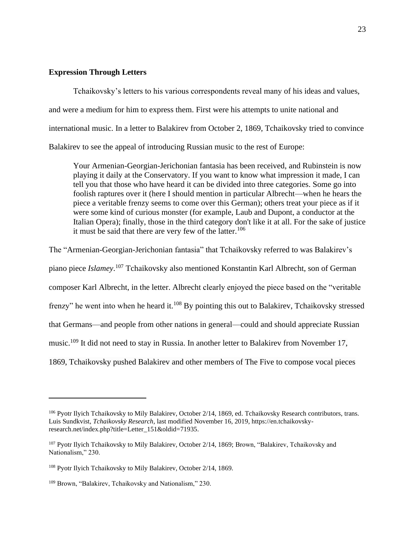# **Expression Through Letters**

Tchaikovsky's letters to his various correspondents reveal many of his ideas and values, and were a medium for him to express them. First were his attempts to unite national and international music. In a letter to Balakirev from October 2, 1869, Tchaikovsky tried to convince Balakirev to see the appeal of introducing Russian music to the rest of Europe:

Your Armenian-Georgian-Jerichonian fantasia has been received, and Rubinstein is now playing it daily at the Conservatory. If you want to know what impression it made, I can tell you that those who have heard it can be divided into three categories. Some go into foolish raptures over it (here I should mention in particular Albrecht—when he hears the piece a veritable frenzy seems to come over this German); others treat your piece as if it were some kind of curious monster (for example, Laub and Dupont, a conductor at the Italian Opera); finally, those in the third category don't like it at all. For the sake of justice it must be said that there are very few of the latter.<sup>106</sup>

The "Armenian-Georgian-Jerichonian fantasia" that Tchaikovsky referred to was Balakirev's piano piece *Islamey*. <sup>107</sup> Tchaikovsky also mentioned Konstantin Karl Albrecht, son of German composer Karl Albrecht, in the letter. Albrecht clearly enjoyed the piece based on the "veritable frenzy" he went into when he heard it.<sup>108</sup> By pointing this out to Balakirev, Tchaikovsky stressed that Germans—and people from other nations in general—could and should appreciate Russian music.<sup>109</sup> It did not need to stay in Russia. In another letter to Balakirev from November 17, 1869, Tchaikovsky pushed Balakirev and other members of The Five to compose vocal pieces

<sup>&</sup>lt;sup>106</sup> Pyotr Ilyich Tchaikovsky to Mily Balakirev, October 2/14, 1869, ed. Tchaikovsky Research contributors, trans. Luis Sundkvist, *Tchaikovsky Research*, last modified November 16, 2019, https://en.tchaikovskyresearch.net/index.php?title=Letter\_151&oldid=71935.

<sup>107</sup> Pyotr Ilyich Tchaikovsky to Mily Balakirev, October 2/14, 1869; Brown, "Balakirev, Tchaikovsky and Nationalism," 230.

<sup>&</sup>lt;sup>108</sup> Pyotr Ilyich Tchaikovsky to Mily Balakirev, October 2/14, 1869.

<sup>109</sup> Brown, "Balakirev, Tchaikovsky and Nationalism," 230.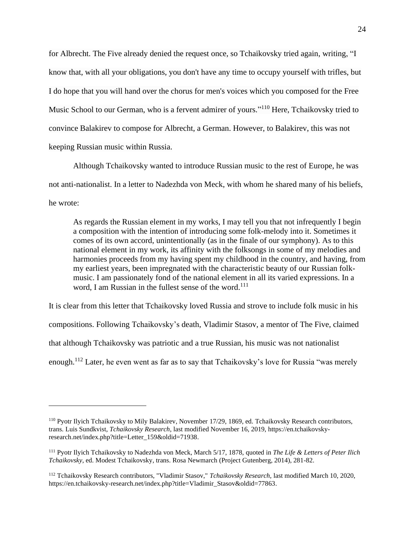for Albrecht. The Five already denied the request once, so Tchaikovsky tried again, writing, "I know that, with all your obligations, you don't have any time to occupy yourself with trifles, but I do hope that you will hand over the chorus for men's voices which you composed for the Free Music School to our German, who is a fervent admirer of yours."<sup>110</sup> Here, Tchaikovsky tried to convince Balakirev to compose for Albrecht, a German. However, to Balakirev, this was not keeping Russian music within Russia.

Although Tchaikovsky wanted to introduce Russian music to the rest of Europe, he was not anti-nationalist. In a letter to Nadezhda von Meck, with whom he shared many of his beliefs, he wrote:

As regards the Russian element in my works, I may tell you that not infrequently I begin a composition with the intention of introducing some folk-melody into it. Sometimes it comes of its own accord, unintentionally (as in the finale of our symphony). As to this national element in my work, its affinity with the folksongs in some of my melodies and harmonies proceeds from my having spent my childhood in the country, and having, from my earliest years, been impregnated with the characteristic beauty of our Russian folkmusic. I am passionately fond of the national element in all its varied expressions. In a word, I am Russian in the fullest sense of the word.<sup>111</sup>

It is clear from this letter that Tchaikovsky loved Russia and strove to include folk music in his compositions. Following Tchaikovsky's death, Vladimir Stasov, a mentor of The Five, claimed that although Tchaikovsky was patriotic and a true Russian, his music was not nationalist enough.<sup>112</sup> Later, he even went as far as to say that Tchaikovsky's love for Russia "was merely

<sup>110</sup> Pyotr Ilyich Tchaikovsky to Mily Balakirev, November 17/29, 1869, ed. Tchaikovsky Research contributors, trans. Luis Sundkvist, *Tchaikovsky Research*, last modified November 16, 2019, https://en.tchaikovskyresearch.net/index.php?title=Letter\_159&oldid=71938.

<sup>111</sup> Pyotr Ilyich Tchaikovsky to Nadezhda von Meck, March 5/17, 1878, quoted in *The Life & Letters of Peter Ilich Tchaikovsky*, ed. Modest Tchaikovsky, trans. Rosa Newmarch (Project Gutenberg, 2014), 281-82.

<sup>112</sup> Tchaikovsky Research contributors, "Vladimir Stasov," *Tchaikovsky Research,* last modified March 10, 2020, https://en.tchaikovsky-research.net/index.php?title=Vladimir\_Stasov&oldid=77863.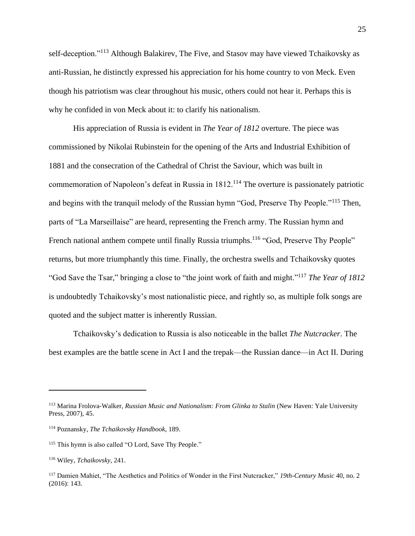self-deception."<sup>113</sup> Although Balakirev, The Five, and Stasov may have viewed Tchaikovsky as anti-Russian, he distinctly expressed his appreciation for his home country to von Meck. Even though his patriotism was clear throughout his music, others could not hear it. Perhaps this is why he confided in von Meck about it: to clarify his nationalism.

His appreciation of Russia is evident in *The Year of 1812* overture. The piece was commissioned by Nikolai Rubinstein for the opening of the Arts and Industrial Exhibition of 1881 and the consecration of the Cathedral of Christ the Saviour, which was built in commemoration of Napoleon's defeat in Russia in 1812.<sup>114</sup> The overture is passionately patriotic and begins with the tranquil melody of the Russian hymn "God, Preserve Thy People."<sup>115</sup> Then, parts of "La Marseillaise" are heard, representing the French army. The Russian hymn and French national anthem compete until finally Russia triumphs.<sup>116</sup> "God, Preserve Thy People" returns, but more triumphantly this time. Finally, the orchestra swells and Tchaikovsky quotes "God Save the Tsar," bringing a close to "the joint work of faith and might."<sup>117</sup> *The Year of 1812*  is undoubtedly Tchaikovsky's most nationalistic piece, and rightly so, as multiple folk songs are quoted and the subject matter is inherently Russian.

Tchaikovsky's dedication to Russia is also noticeable in the ballet *The Nutcracker*. The best examples are the battle scene in Act I and the trepak—the Russian dance—in Act II. During

<sup>113</sup> Marina Frolova-Walker, *Russian Music and Nationalism: From Glinka to Stalin* (New Haven: Yale University Press, 2007), 45.

<sup>114</sup> Poznansky, *The Tchaikovsky Handbook*, 189.

<sup>&</sup>lt;sup>115</sup> This hymn is also called "O Lord, Save Thy People."

<sup>116</sup> Wiley, *Tchaikovsky*, 241.

<sup>117</sup> Damien Mahiet, "The Aesthetics and Politics of Wonder in the First Nutcracker," *19th-Century Music* 40, no. 2 (2016): 143.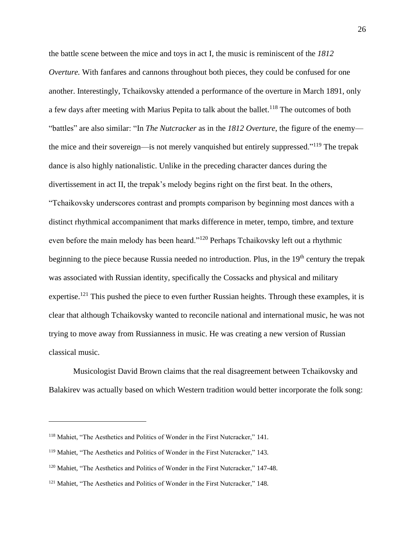the battle scene between the mice and toys in act I, the music is reminiscent of the *1812 Overture.* With fanfares and cannons throughout both pieces, they could be confused for one another. Interestingly, Tchaikovsky attended a performance of the overture in March 1891, only a few days after meeting with Marius Pepita to talk about the ballet.<sup>118</sup> The outcomes of both "battles" are also similar: "In *The Nutcracker* as in the *1812 Overture*, the figure of the enemy the mice and their sovereign—is not merely vanquished but entirely suppressed."<sup>119</sup> The trepak dance is also highly nationalistic. Unlike in the preceding character dances during the divertissement in act II, the trepak's melody begins right on the first beat. In the others, "Tchaikovsky underscores contrast and prompts comparison by beginning most dances with a distinct rhythmical accompaniment that marks difference in meter, tempo, timbre, and texture even before the main melody has been heard."<sup>120</sup> Perhaps Tchaikovsky left out a rhythmic beginning to the piece because Russia needed no introduction. Plus, in the 19<sup>th</sup> century the trepak was associated with Russian identity, specifically the Cossacks and physical and military expertise.<sup>121</sup> This pushed the piece to even further Russian heights. Through these examples, it is clear that although Tchaikovsky wanted to reconcile national and international music, he was not trying to move away from Russianness in music. He was creating a new version of Russian classical music.

Musicologist David Brown claims that the real disagreement between Tchaikovsky and Balakirev was actually based on which Western tradition would better incorporate the folk song:

<sup>118</sup> Mahiet, "The Aesthetics and Politics of Wonder in the First Nutcracker," 141.

<sup>119</sup> Mahiet, "The Aesthetics and Politics of Wonder in the First Nutcracker," 143.

<sup>120</sup> Mahiet, "The Aesthetics and Politics of Wonder in the First Nutcracker," 147-48.

<sup>121</sup> Mahiet, "The Aesthetics and Politics of Wonder in the First Nutcracker," 148.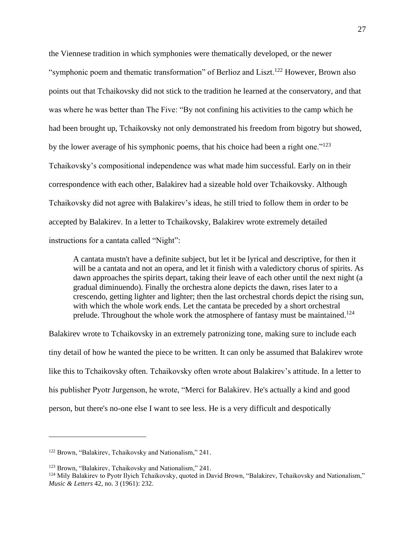the Viennese tradition in which symphonies were thematically developed, or the newer "symphonic poem and thematic transformation" of Berlioz and Liszt.<sup>122</sup> However, Brown also points out that Tchaikovsky did not stick to the tradition he learned at the conservatory, and that was where he was better than The Five: "By not confining his activities to the camp which he had been brought up, Tchaikovsky not only demonstrated his freedom from bigotry but showed, by the lower average of his symphonic poems, that his choice had been a right one."<sup>123</sup> Tchaikovsky's compositional independence was what made him successful. Early on in their correspondence with each other, Balakirev had a sizeable hold over Tchaikovsky. Although Tchaikovsky did not agree with Balakirev's ideas, he still tried to follow them in order to be accepted by Balakirev. In a letter to Tchaikovsky, Balakirev wrote extremely detailed instructions for a cantata called "Night":

A cantata mustn't have a definite subject, but let it be lyrical and descriptive, for then it will be a cantata and not an opera, and let it finish with a valedictory chorus of spirits. As dawn approaches the spirits depart, taking their leave of each other until the next night (a gradual diminuendo). Finally the orchestra alone depicts the dawn, rises later to a crescendo, getting lighter and lighter; then the last orchestral chords depict the rising sun, with which the whole work ends. Let the cantata be preceded by a short orchestral prelude. Throughout the whole work the atmosphere of fantasy must be maintained.<sup>124</sup>

Balakirev wrote to Tchaikovsky in an extremely patronizing tone, making sure to include each tiny detail of how he wanted the piece to be written. It can only be assumed that Balakirev wrote like this to Tchaikovsky often. Tchaikovsky often wrote about Balakirev's attitude. In a letter to his publisher Pyotr Jurgenson, he wrote, "Merci for Balakirev. He's actually a kind and good person, but there's no-one else I want to see less. He is a very difficult and despotically

<sup>122</sup> Brown, "Balakirev, Tchaikovsky and Nationalism," 241.

<sup>123</sup> Brown, "Balakirev, Tchaikovsky and Nationalism," 241.

<sup>&</sup>lt;sup>124</sup> Mily Balakirev to Pyotr Ilyich Tchaikovsky, quoted in David Brown, "Balakirev, Tchaikovsky and Nationalism," *Music & Letters* 42, no. 3 (1961): 232.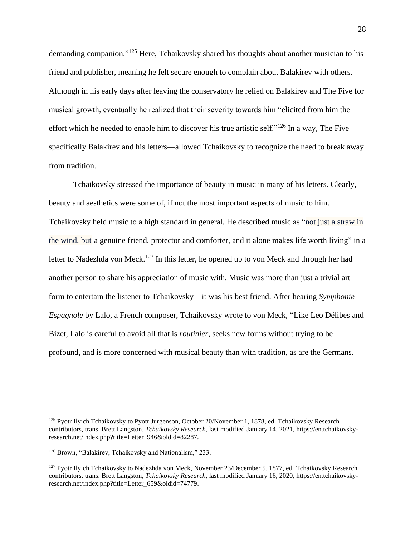demanding companion."<sup>125</sup> Here, Tchaikovsky shared his thoughts about another musician to his friend and publisher, meaning he felt secure enough to complain about Balakirev with others. Although in his early days after leaving the conservatory he relied on Balakirev and The Five for musical growth, eventually he realized that their severity towards him "elicited from him the effort which he needed to enable him to discover his true artistic self."<sup>126</sup> In a way, The Five specifically Balakirev and his letters—allowed Tchaikovsky to recognize the need to break away from tradition.

Tchaikovsky stressed the importance of beauty in music in many of his letters. Clearly, beauty and aesthetics were some of, if not the most important aspects of music to him. Tchaikovsky held music to a high standard in general. He described music as "not just a straw in the wind, but a genuine friend, protector and comforter, and it alone makes life worth living" in a letter to Nadezhda von Meck.<sup>127</sup> In this letter, he opened up to von Meck and through her had another person to share his appreciation of music with. Music was more than just a trivial art form to entertain the listener to Tchaikovsky—it was his best friend. After hearing *Symphonie Espagnole* by Lalo, a French composer, Tchaikovsky wrote to von Meck, "Like Leo Délibes and Bizet, Lalo is careful to avoid all that is *routinier*, seeks new forms without trying to be profound, and is more concerned with musical beauty than with tradition, as are the Germans.

<sup>&</sup>lt;sup>125</sup> Pyotr Ilyich Tchaikovsky to Pyotr Jurgenson, October 20/November 1, 1878, ed. Tchaikovsky Research contributors, trans. Brett Langston, *Tchaikovsky Research*, last modified January 14, 2021, https://en.tchaikovskyresearch.net/index.php?title=Letter\_946&oldid=82287.

<sup>126</sup> Brown, "Balakirev, Tchaikovsky and Nationalism," 233.

<sup>&</sup>lt;sup>127</sup> Pyotr Ilyich Tchaikovsky to Nadezhda von Meck, November 23/December 5, 1877, ed. Tchaikovsky Research contributors, trans. Brett Langston, *Tchaikovsky Research*, last modified January 16, 2020, https://en.tchaikovskyresearch.net/index.php?title=Letter\_659&oldid=74779.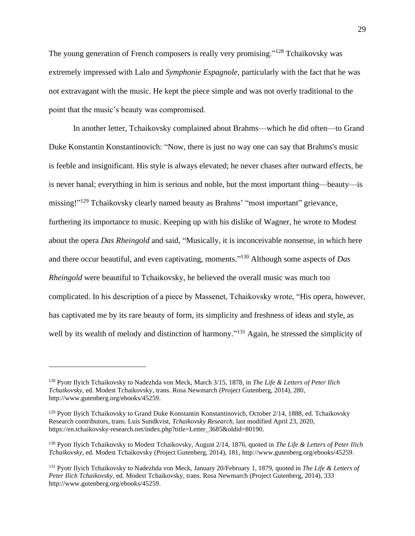The young generation of French composers is really very promising."<sup>128</sup> Tchaikovsky was extremely impressed with Lalo and *Symphonie Espagnole*, particularly with the fact that he was not extravagant with the music. He kept the piece simple and was not overly traditional to the point that the music's beauty was compromised.

In another letter, Tchaikovsky complained about Brahms—which he did often—to Grand Duke Konstantin Konstantinovich: "Now, there is just no way one can say that Brahms's music is feeble and insignificant. His style is always elevated; he never chases after outward effects, he is never banal; everything in him is serious and noble, but the most important thing—beauty—is missing!"<sup>129</sup> Tchaikovsky clearly named beauty as Brahms' "most important" grievance, furthering its importance to music. Keeping up with his dislike of Wagner, he wrote to Modest about the opera *Das Rheingold* and said, "Musically, it is inconceivable nonsense, in which here and there occur beautiful, and even captivating, moments." <sup>130</sup> Although some aspects of *Das Rheingold* were beautiful to Tchaikovsky, he believed the overall music was much too complicated. In his description of a piece by Massenet, Tchaikovsky wrote, "His opera, however, has captivated me by its rare beauty of form, its simplicity and freshness of ideas and style, as well by its wealth of melody and distinction of harmony."<sup>131</sup> Again, he stressed the simplicity of

<sup>128</sup> Pyotr Ilyich Tchaikovsky to Nadezhda von Meck, March 3/15, 1878, in *The Life & Letters of Peter Ilich Tchaikovsky*, ed. Modest Tchaikovsky, trans. Rosa Newmarch (Project Gutenberg, 2014), 280, http://www.gutenberg.org/ebooks/45259.

<sup>&</sup>lt;sup>129</sup> Pyotr Ilyich Tchaikovsky to Grand Duke Konstantin Konstantinovich, October 2/14, 1888, ed. Tchaikovsky Research contributors, trans. Luis Sundkvist, *Tchaikovsky Research*, last modified April 23, 2020, https://en.tchaikovsky-research.net/index.php?title=Letter\_3685&oldid=80190.

<sup>130</sup> Pyotr Ilyich Tchaikovsky to Modest Tchaikovsky, August 2/14, 1876, quoted in *The Life & Letters of Peter Ilich Tchaikovsky*, ed. Modest Tchaikovsky (Project Gutenberg, 2014), 181, http://www.gutenberg.org/ebooks/45259.

<sup>131</sup> Pyotr Ilyich Tchaikovsky to Nadezhda von Meck, January 20/February 1, 1879, quoted in *The Life & Letters of Peter Ilich Tchaikovsky*, ed. Modest Tchaikovsky, trans. Rosa Newmarch (Project Gutenberg, 2014), 333 http://www.gutenberg.org/ebooks/45259.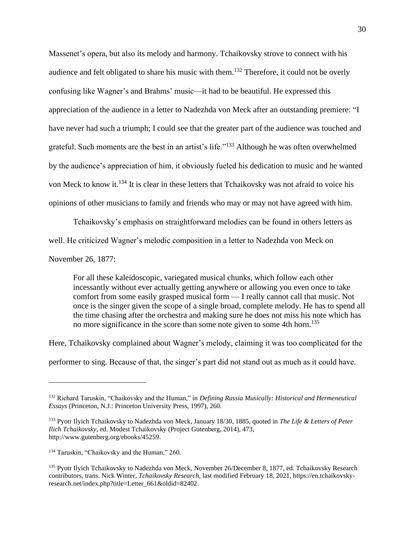Massenet's opera, but also its melody and harmony. Tchaikovsky strove to connect with his audience and felt obligated to share his music with them.<sup>132</sup> Therefore, it could not be overly confusing like Wagner's and Brahms' music—it had to be beautiful. He expressed this appreciation of the audience in a letter to Nadezhda von Meck after an outstanding premiere: "I have never had such a triumph; I could see that the greater part of the audience was touched and grateful. Such moments are the best in an artist's life."<sup>133</sup> Although he was often overwhelmed by the audience's appreciation of him, it obviously fueled his dedication to music and he wanted von Meck to know it.<sup>134</sup> It is clear in these letters that Tchaikovsky was not afraid to voice his opinions of other musicians to family and friends who may or may not have agreed with him.

Tchaikovsky's emphasis on straightforward melodies can be found in others letters as well. He criticized Wagner's melodic composition in a letter to Nadezhda von Meck on

November 26, 1877:

For all these kaleidoscopic, variegated musical chunks, which follow each other incessantly without ever actually getting anywhere or allowing you even once to take comfort from some easily grasped musical form — I really cannot call that music. Not once is the singer given the scope of a single broad, complete melody. He has to spend all the time chasing after the orchestra and making sure he does not miss his note which has no more significance in the score than some note given to some 4th horn. 135

Here, Tchaikovsky complained about Wagner's melody, claiming it was too complicated for the performer to sing. Because of that, the singer's part did not stand out as much as it could have.

<sup>132</sup> Richard Taruskin, "Chaikovsky and the Human," in *Defining Russia Musically: Historical and Hermeneutical Essays* (Princeton, N.J.: Princeton University Press, 1997), 260.

<sup>133</sup> Pyotr Ilyich Tchaikovsky to Nadezhda von Meck, January 18/30, 1885, quoted in *The Life & Letters of Peter Ilich Tchaikovsky*, ed. Modest Tchaikovsky (Project Gutenberg, 2014), 473, http://www.gutenberg.org/ebooks/45259.

<sup>134</sup> Taruskin, "Chaikovsky and the Human," 260.

<sup>135</sup> Pyotr Ilyich Tchaikovsky to Nadezhda von Meck, November 26/December 8, 1877, ed. Tchaikovsky Research contributors, trans. Nick Winter, *Tchaikovsky Research*, last modified February 18, 2021, https://en.tchaikovskyresearch.net/index.php?title=Letter\_661&oldid=82402.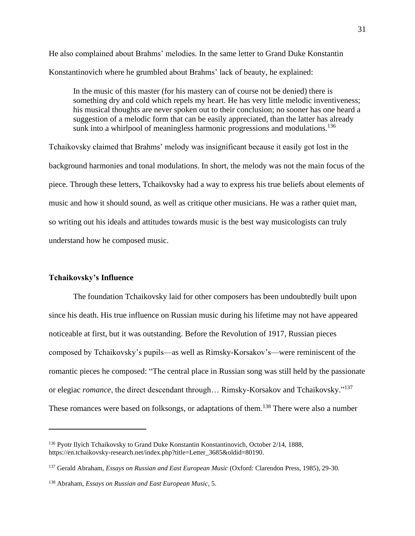He also complained about Brahms' melodies. In the same letter to Grand Duke Konstantin Konstantinovich where he grumbled about Brahms' lack of beauty, he explained:

In the music of this master (for his mastery can of course not be denied) there is something dry and cold which repels my heart. He has very little melodic inventiveness; his musical thoughts are never spoken out to their conclusion; no sooner has one heard a suggestion of a melodic form that can be easily appreciated, than the latter has already sunk into a whirlpool of meaningless harmonic progressions and modulations.<sup>136</sup>

Tchaikovsky claimed that Brahms' melody was insignificant because it easily got lost in the background harmonies and tonal modulations. In short, the melody was not the main focus of the piece. Through these letters, Tchaikovsky had a way to express his true beliefs about elements of music and how it should sound, as well as critique other musicians. He was a rather quiet man, so writing out his ideals and attitudes towards music is the best way musicologists can truly understand how he composed music.

#### **Tchaikovsky's Influence**

The foundation Tchaikovsky laid for other composers has been undoubtedly built upon since his death. His true influence on Russian music during his lifetime may not have appeared noticeable at first, but it was outstanding. Before the Revolution of 1917, Russian pieces composed by Tchaikovsky's pupils—as well as Rimsky-Korsakov's—were reminiscent of the romantic pieces he composed: "The central place in Russian song was still held by the passionate or elegiac *romance*, the direct descendant through… Rimsky-Korsakov and Tchaikovsky." 137 These romances were based on folksongs, or adaptations of them.<sup>138</sup> There were also a number

<sup>136</sup> Pyotr Ilyich Tchaikovsky to Grand Duke Konstantin Konstantinovich, October 2/14, 1888, https://en.tchaikovsky-research.net/index.php?title=Letter\_3685&oldid=80190.

<sup>137</sup> Gerald Abraham, *Essays on Russian and East European Music* (Oxford: Clarendon Press, 1985), 29-30.

<sup>138</sup> Abraham, *Essays on Russian and East European Music*, 5.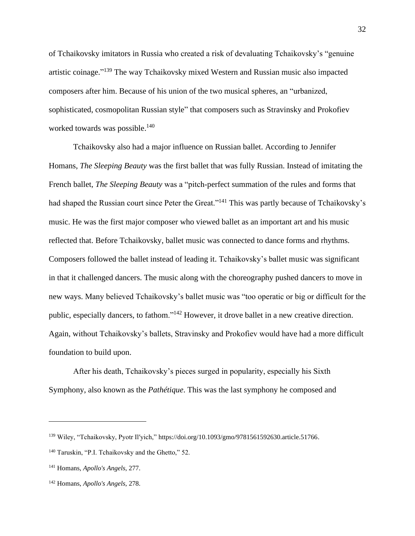of Tchaikovsky imitators in Russia who created a risk of devaluating Tchaikovsky's "genuine artistic coinage." <sup>139</sup> The way Tchaikovsky mixed Western and Russian music also impacted composers after him. Because of his union of the two musical spheres, an "urbanized, sophisticated, cosmopolitan Russian style" that composers such as Stravinsky and Prokofiev worked towards was possible.<sup>140</sup>

Tchaikovsky also had a major influence on Russian ballet. According to Jennifer Homans, *The Sleeping Beauty* was the first ballet that was fully Russian. Instead of imitating the French ballet, *The Sleeping Beauty* was a "pitch-perfect summation of the rules and forms that had shaped the Russian court since Peter the Great."<sup>141</sup> This was partly because of Tchaikovsky's music. He was the first major composer who viewed ballet as an important art and his music reflected that. Before Tchaikovsky, ballet music was connected to dance forms and rhythms. Composers followed the ballet instead of leading it. Tchaikovsky's ballet music was significant in that it challenged dancers. The music along with the choreography pushed dancers to move in new ways. Many believed Tchaikovsky's ballet music was "too operatic or big or difficult for the public, especially dancers, to fathom."<sup>142</sup> However, it drove ballet in a new creative direction. Again, without Tchaikovsky's ballets, Stravinsky and Prokofiev would have had a more difficult foundation to build upon.

After his death, Tchaikovsky's pieces surged in popularity, especially his Sixth Symphony, also known as the *Pathétique*. This was the last symphony he composed and

<sup>139</sup> Wiley, "Tchaikovsky, Pyotr Il′yich," https://doi.org/10.1093/gmo/9781561592630.article.51766.

<sup>&</sup>lt;sup>140</sup> Taruskin, "P.I. Tchaikovsky and the Ghetto," 52.

<sup>141</sup> Homans, *Apollo's Angels*, 277.

<sup>142</sup> Homans, *Apollo's Angels*, 278.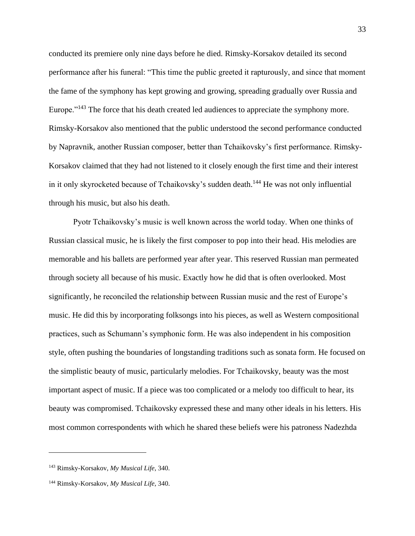conducted its premiere only nine days before he died. Rimsky-Korsakov detailed its second performance after his funeral: "This time the public greeted it rapturously, and since that moment the fame of the symphony has kept growing and growing, spreading gradually over Russia and Europe."<sup>143</sup> The force that his death created led audiences to appreciate the symphony more. Rimsky-Korsakov also mentioned that the public understood the second performance conducted by Napravnik, another Russian composer, better than Tchaikovsky's first performance. Rimsky-Korsakov claimed that they had not listened to it closely enough the first time and their interest in it only skyrocketed because of Tchaikovsky's sudden death.<sup>144</sup> He was not only influential through his music, but also his death.

Pyotr Tchaikovsky's music is well known across the world today. When one thinks of Russian classical music, he is likely the first composer to pop into their head. His melodies are memorable and his ballets are performed year after year. This reserved Russian man permeated through society all because of his music. Exactly how he did that is often overlooked. Most significantly, he reconciled the relationship between Russian music and the rest of Europe's music. He did this by incorporating folksongs into his pieces, as well as Western compositional practices, such as Schumann's symphonic form. He was also independent in his composition style, often pushing the boundaries of longstanding traditions such as sonata form. He focused on the simplistic beauty of music, particularly melodies. For Tchaikovsky, beauty was the most important aspect of music. If a piece was too complicated or a melody too difficult to hear, its beauty was compromised. Tchaikovsky expressed these and many other ideals in his letters. His most common correspondents with which he shared these beliefs were his patroness Nadezhda

<sup>143</sup> Rimsky-Korsakov, *My Musical Life*, 340.

<sup>144</sup> Rimsky-Korsakov, *My Musical Life*, 340.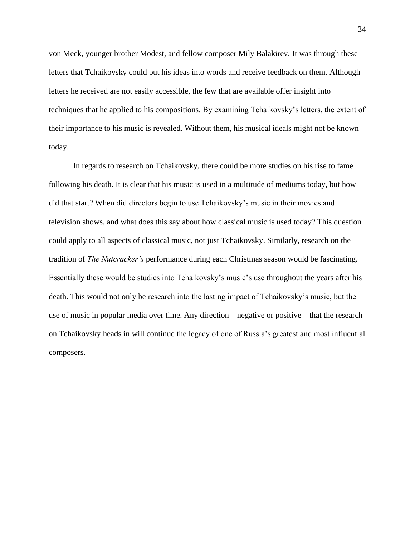von Meck, younger brother Modest, and fellow composer Mily Balakirev. It was through these letters that Tchaikovsky could put his ideas into words and receive feedback on them. Although letters he received are not easily accessible, the few that are available offer insight into techniques that he applied to his compositions. By examining Tchaikovsky's letters, the extent of their importance to his music is revealed. Without them, his musical ideals might not be known today.

In regards to research on Tchaikovsky, there could be more studies on his rise to fame following his death. It is clear that his music is used in a multitude of mediums today, but how did that start? When did directors begin to use Tchaikovsky's music in their movies and television shows, and what does this say about how classical music is used today? This question could apply to all aspects of classical music, not just Tchaikovsky. Similarly, research on the tradition of *The Nutcracker's* performance during each Christmas season would be fascinating. Essentially these would be studies into Tchaikovsky's music's use throughout the years after his death. This would not only be research into the lasting impact of Tchaikovsky's music, but the use of music in popular media over time. Any direction—negative or positive—that the research on Tchaikovsky heads in will continue the legacy of one of Russia's greatest and most influential composers.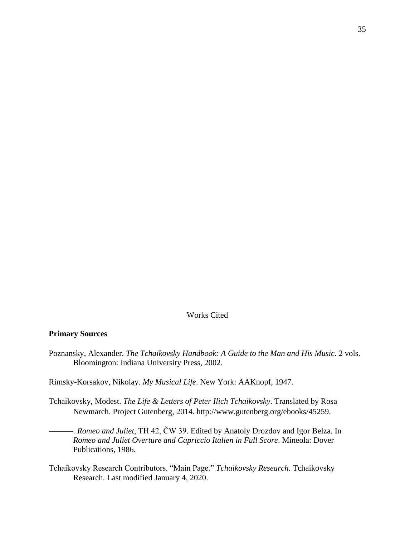## Works Cited

#### **Primary Sources**

Poznansky, Alexander. *The Tchaikovsky Handbook: A Guide to the Man and His Music*. 2 vols. Bloomington: Indiana University Press, 2002.

Rimsky-Korsakov, Nikolay. *My Musical Life*. New York: AAKnopf, 1947.

- Tchaikovsky, Modest. *The Life & Letters of Peter Ilich Tchaikovsky*. Translated by Rosa Newmarch. Project Gutenberg, 2014. http://www.gutenberg.org/ebooks/45259.
	- ———. *Romeo and Juliet*, TH 42, ČW 39. Edited by Anatoly Drozdov and Igor Belza. In *Romeo and Juliet Overture and Capriccio Italien in Full Score*. Mineola: Dover Publications, 1986.
- Tchaikovsky Research Contributors. "Main Page." *Tchaikovsky Research*. Tchaikovsky Research. Last modified January 4, 2020.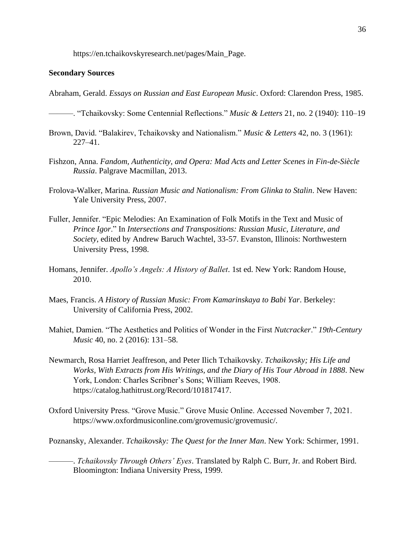https://en.tchaikovskyresearch.net/pages/Main\_Page.

#### **Secondary Sources**

Abraham, Gerald. *Essays on Russian and East European Music*. Oxford: Clarendon Press, 1985.

———. "Tchaikovsky: Some Centennial Reflections." *Music & Letters* 21, no. 2 (1940): 110–19

- Brown, David. "Balakirev, Tchaikovsky and Nationalism." *Music & Letters* 42, no. 3 (1961): 227–41.
- Fishzon, Anna. *Fandom, Authenticity, and Opera: Mad Acts and Letter Scenes in Fin-de-Siècle Russia*. Palgrave Macmillan, 2013.
- Frolova-Walker, Marina. *Russian Music and Nationalism: From Glinka to Stalin*. New Haven: Yale University Press, 2007.
- Fuller, Jennifer. "Epic Melodies: An Examination of Folk Motifs in the Text and Music of *Prince Igor*." In *Intersections and Transpositions: Russian Music, Literature, and Society*, edited by Andrew Baruch Wachtel, 33-57. Evanston, Illinois: Northwestern University Press, 1998.
- Homans, Jennifer. *Apollo's Angels: A History of Ballet*. 1st ed. New York: Random House, 2010.
- Maes, Francis. *A History of Russian Music: From Kamarinskaya to Babi Yar*. Berkeley: University of California Press, 2002.
- Mahiet, Damien. "The Aesthetics and Politics of Wonder in the First *Nutcracker*." *19th-Century Music* 40, no. 2 (2016): 131–58.
- Newmarch, Rosa Harriet Jeaffreson, and Peter Ilich Tchaikovsky. *Tchaikovsky; His Life and Works, With Extracts from His Writings, and the Diary of His Tour Abroad in 1888*. New York, London: Charles Scribner's Sons; William Reeves, 1908. https://catalog.hathitrust.org/Record/101817417.
- Oxford University Press. "Grove Music." Grove Music Online. Accessed November 7, 2021. https://www.oxfordmusiconline.com/grovemusic/grovemusic/.
- Poznansky, Alexander. *Tchaikovsky: The Quest for the Inner Man*. New York: Schirmer, 1991.

———. *Tchaikovsky Through Others' Eyes*. Translated by Ralph C. Burr, Jr. and Robert Bird. Bloomington: Indiana University Press, 1999.